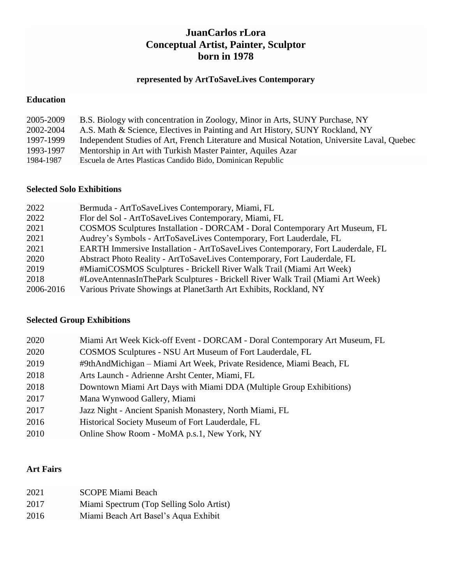## **JuanCarlos rLora Conceptual Artist, Painter, Sculptor born in 1978**

# **represented by ArtToSaveLives Contemporary**

## **Education**

| 2005-2009 | B.S. Biology with concentration in Zoology, Minor in Arts, SUNY Purchase, NY                 |
|-----------|----------------------------------------------------------------------------------------------|
| 2002-2004 | A.S. Math & Science, Electives in Painting and Art History, SUNY Rockland, NY                |
| 1997-1999 | Independent Studies of Art, French Literature and Musical Notation, Universite Laval, Quebec |
| 1993-1997 | Mentorship in Art with Turkish Master Painter, Aquiles Azar                                  |
| 1984-1987 | Escuela de Artes Plasticas Candido Bido, Dominican Republic                                  |

### **Selected Solo Exhibitions**

| 2022      | Bermuda - ArtToSaveLives Contemporary, Miami, FL                                       |
|-----------|----------------------------------------------------------------------------------------|
| 2022      | Flor del Sol - ArtToSaveLives Contemporary, Miami, FL                                  |
| 2021      | COSMOS Sculptures Installation - DORCAM - Doral Contemporary Art Museum, FL            |
| 2021      | Audrey's Symbols - ArtToSaveLives Contemporary, Fort Lauderdale, FL                    |
| 2021      | <b>EARTH</b> Immersive Installation - ArtToSaveLives Contemporary, Fort Lauderdale, FL |
| 2020      | Abstract Photo Reality - ArtToSaveLives Contemporary, Fort Lauderdale, FL              |
| 2019      | #MiamiCOSMOS Sculptures - Brickell River Walk Trail (Miami Art Week)                   |
| 2018      | #LoveAntennasInThePark Sculptures - Brickell River Walk Trail (Miami Art Week)         |
| 2006-2016 | Various Private Showings at Planet3arth Art Exhibits, Rockland, NY                     |

## **Selected Group Exhibitions**

| 2020 | Miami Art Week Kick-off Event - DORCAM - Doral Contemporary Art Museum, FL |
|------|----------------------------------------------------------------------------|
| 2020 | COSMOS Sculptures - NSU Art Museum of Fort Lauderdale, FL                  |
| 2019 | #9thAndMichigan – Miami Art Week, Private Residence, Miami Beach, FL       |
| 2018 | Arts Launch - Adrienne Arsht Center, Miami, FL                             |
| 2018 | Downtown Miami Art Days with Miami DDA (Multiple Group Exhibitions)        |
| 2017 | Mana Wynwood Gallery, Miami                                                |
| 2017 | Jazz Night - Ancient Spanish Monastery, North Miami, FL                    |
| 2016 | Historical Society Museum of Fort Lauderdale, FL                           |
| 2010 | Online Show Room - MoMA p.s.1, New York, NY                                |

### **Art Fairs**

| 2021 | <b>SCOPE Miami Beach</b>                 |
|------|------------------------------------------|
| 2017 | Miami Spectrum (Top Selling Solo Artist) |
| 2016 | Miami Beach Art Basel's Aqua Exhibit     |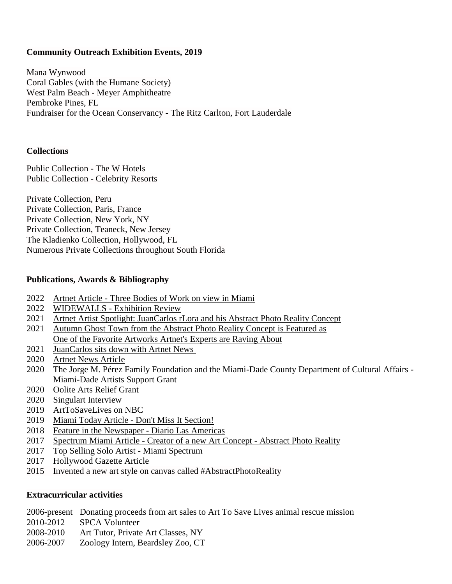### **Community Outreach Exhibition Events, 2019**

Mana Wynwood Coral Gables (with the Humane Society) West Palm Beach - Meyer Amphitheatre Pembroke Pines, FL Fundraiser for the Ocean Conservancy - The Ritz Carlton, Fort Lauderdale

#### **Collections**

Public Collection - The W Hotels Public Collection - Celebrity Resorts

Private Collection, Peru Private Collection, Paris, France Private Collection, New York, NY Private Collection, Teaneck, New Jersey The Kladienko Collection, Hollywood, FL Numerous Private Collections throughout South Florida

#### **Publications, Awards & Bibliography**

- 2022 Artnet Article [Three Bodies of Work on view in Miami](https://news.artnet.com/buyers-guide/shop-the-show-arttosavelives-juancarlos-rlora-2062290)
- 2022WIDEWALLS [Exhibition Review](https://www.widewalls.ch/magazine/arttosavelives-contemporary-juancarlos-rlora)
- 2021 [Artnet Artist Spotlight: JuanCarlos rLora and his Abstract Photo Reality Concept](https://news.artnet.com/buyers-guide/spotlight-artist-juan-llorca-1974288)
- 2021 Autumn Ghost Town from the [Abstract Photo Reality Concept](https://news.artnet.com/buyers-guide/artnet-gallery-network-weekly-favorites-may-14-2021-1969212) is Featured as [One of the Favorite Artworks Artnet's Experts are Raving About](https://news.artnet.com/buyers-guide/artnet-gallery-network-weekly-favorites-may-14-2021-1969212)
- 2021 [JuanCarlos sits down with Artnet News](https://news.artnet.com/partner-content/art-to-save-lives-juancarlos-rlora)
- 2020 [Artnet News Article](https://news.artnet.com/partner-content/juancarlos-rlora-art-to-save-lives-gallery)
- 2020 The Jorge M. Pérez Family Foundation and the Miami-Dade County Department of Cultural Affairs Miami-Dade Artists Support Grant
- 2020 Oolite Arts Relief Grant
- 2020 Singulart Interview
- 2019 [ArtToSaveLives](https://www.nbcmiami.com/on-air/as-seen-on/NBC-6-Pride-Art-to-Save-Lives-Animal-Rescue_Miami-565282642.html) on NBC
- 2019 [Miami Today Article -](https://www.arttosavelives.org/uploads/1/2/5/9/125903014/p19miamitoday_12_12_19.pdf) Don't Miss It Section!
- 2018 [Feature in the Newspaper](https://www.diariolasamericas.com/cultura/la-muestra-loveantennas-llama-la-busqueda-del-amor-n4167636) Diario Las Americas
- 2017 Spectrum Miami Article [Creator of a new Art Concept -](https://www.arttosavelives.org/uploads/1/2/5/9/125903014/apr_article.pdf) Abstract Photo Reality
- 2017 [Top Selling Solo Artist -](https://www.arttosavelives.org/uploads/1/2/5/9/125903014/thats-a-wrap-highlight-of-spectrum-miami-2017.pdf) Miami Spectrum
- 2017 [Hollywood Gazette Article](https://issuu.com/jennifersandomir/docs/aug_2017/10)
- 2015 Invented a new art style on canvas called #AbstractPhotoReality

#### **Extracurricular activities**

2006-present Donating proceeds from art sales to Art To Save Lives animal rescue mission

- 2010-2012 SPCA Volunteer
- 2008-2010 Art Tutor, Private Art Classes, NY
- 2006-2007 Zoology Intern, Beardsley Zoo, CT